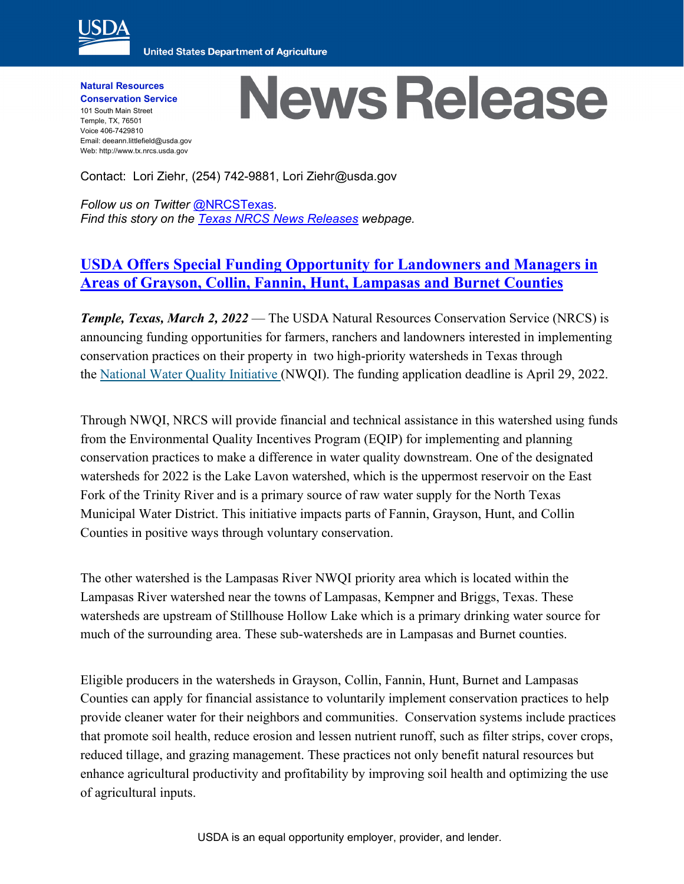

**United States Department of Agriculture** 

**Natural Resources Conservation Service** 101 South Main Street Temple, TX, 76501 Voice 406-7429810 Email: deeann.littlefield@usda.gov Web: http://www.tx.nrcs.usda.gov

## **News Release**

Contact: Lori Ziehr, (254) 742-9881, Lori Ziehr@usda.gov

*Follow us on Twitter* [@NRCSTexas](https://twitter.com/NRCSTexas)*. Find this story on the Texas [NRCS News Releases](https://www.nrcs.usda.gov/wps/portal/nrcs/news/tx/newsroom/releases/) webpage.*

## **[USDA Offers Special Funding Opportunity for Landowners and Managers in](https://www.nrcs.usda.gov/wps/portal/nrcs/detail/tx/newsroom/releases/?cid=NRCSEPRD1893824)  [Areas of Grayson, Collin, Fannin, Hunt, Lampasas and Burnet Counties](https://www.nrcs.usda.gov/wps/portal/nrcs/detail/tx/newsroom/releases/?cid=NRCSEPRD1893824)**

*Temple, Texas, March 2, 2022* — The USDA Natural Resources Conservation Service (NRCS) is announcing funding opportunities for farmers, ranchers and landowners interested in implementing conservation practices on their property in two high-priority watersheds in Texas through the [National Water Quality Initiative](https://www.nrcs.usda.gov/wps/portal/nrcs/detail/tx/programs/landscape/?cid=stelprdb1256621) (NWQI). The funding application deadline is April 29, 2022.

Through NWQI, NRCS will provide financial and technical assistance in this watershed using funds from the Environmental Quality Incentives Program (EQIP) for implementing and planning conservation practices to make a difference in water quality downstream. One of the designated watersheds for 2022 is the Lake Lavon watershed, which is the uppermost reservoir on the East Fork of the Trinity River and is a primary source of raw water supply for the North Texas Municipal Water District. This initiative impacts parts of Fannin, Grayson, Hunt, and Collin Counties in positive ways through voluntary conservation.

The other watershed is the Lampasas River NWQI priority area which is located within the Lampasas River watershed near the towns of Lampasas, Kempner and Briggs, Texas. These watersheds are upstream of Stillhouse Hollow Lake which is a primary drinking water source for much of the surrounding area. These sub-watersheds are in Lampasas and Burnet counties.

Eligible producers in the watersheds in Grayson, Collin, Fannin, Hunt, Burnet and Lampasas Counties can apply for financial assistance to voluntarily implement conservation practices to help provide cleaner water for their neighbors and communities. Conservation systems include practices that promote soil health, reduce erosion and lessen nutrient runoff, such as filter strips, cover crops, reduced tillage, and grazing management. These practices not only benefit natural resources but enhance agricultural productivity and profitability by improving soil health and optimizing the use of agricultural inputs.